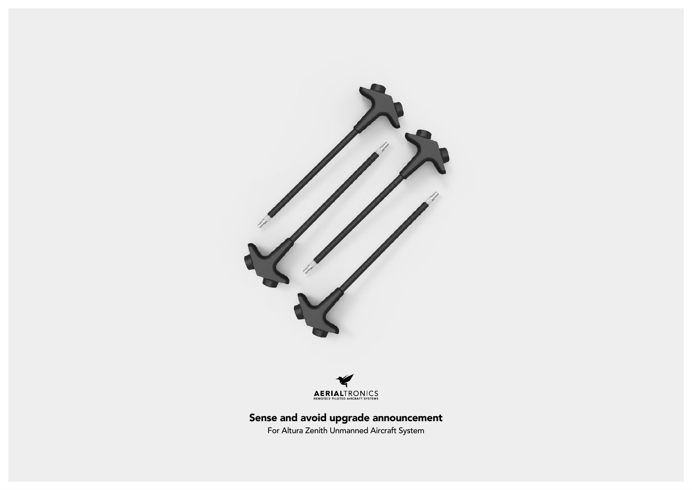



# Sense and avoid upgrade announcement

For Altura Zenith Unmanned Aircraft System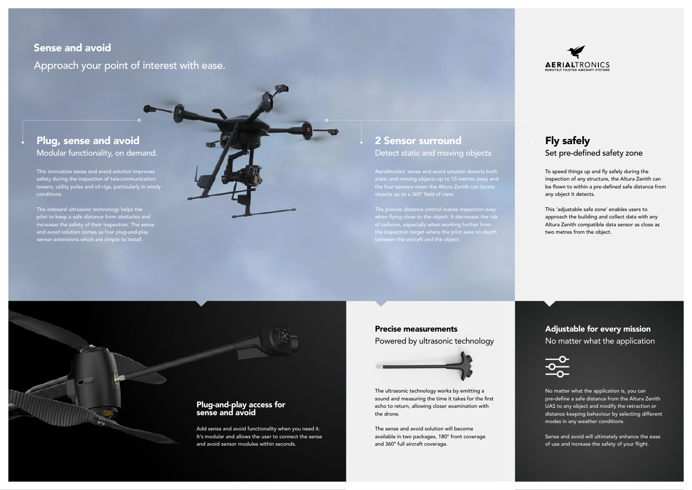## Sense and avoid

Approach your point of interest with ease.

## Plug, sense and avoid Modular functionality, on demand.

#### Plug-and-play access for sense and avoid

Add sense and avoid functionality when you need it. It's modular and allows the user to connect the sense and avoid sensor modules within seconds.

This innovative sense and avoid solution improves safety during the inspection of telecommunication towers, utility poles and oil rigs, particularly in windy conditions.

The onboard ultrasonic technology helps the pilot to keep a safe distance from obstacles and increases the safety of their inspection. The sense and avoid solution comes as four plug-and-play sensor extensions which are simple to install.

To speed things up and fly safely during the inspection of any structure, the Altura Zenith can be flown to within a pre-defined safe distance from any object it detects.

## Adjustable for every mission No matter what the application



This 'adjustable safe zone' enables users to approach the building and collect data with any Altura Zenith compatible data sensor as close as two metres from the object.

Aerialtronics' sense and avoid solution detects both static and moving objects up to 15 metres away and the four sensors mean the Altura Zenith can locate

when flying close to the object. It decreases the risk of collision, especially when working further from the inspection target where the pilot sees no depth between the aircraft and the object.

## 2 Sensor surround Detect static and moving objects

## Fly safely Set pre-defined safety zone

No matter what the application is, you can pre-define a safe distance from the Altura Zenith UAS to any object and modify the retraction or distance keeping behaviour by selecting different modes in any weather conditions.

Sense and avoid will ultimately enhance the ease of use and increase the safety of your flight.

### Precise measurements

Powered by ultrasonic technology



The ultrasonic technology works by emitting a sound and measuring the time it takes for the first echo to return, allowing closer examination with the drone.

The sense and avoid solution will become available in two packages, 180° front coverage and 360° full aircraft coverage.

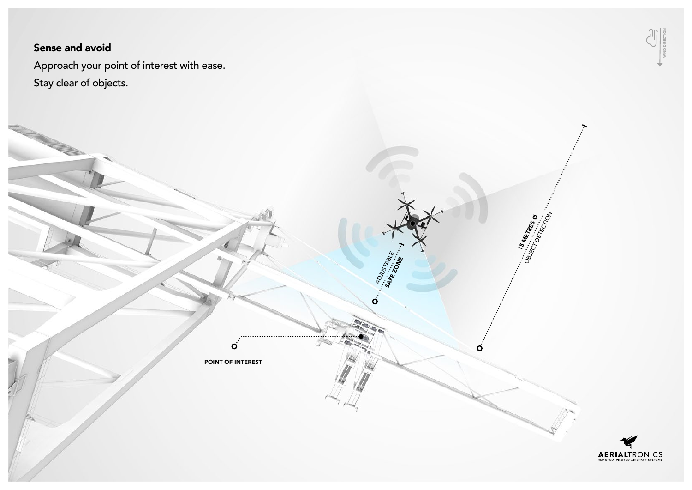## Sense and avoid

Approach your point of interest with ease. Stay clear of objects.



POINT OF INTEREST

 $\overline{O}$ 

ADJUSTABLE

 $\dot{\mathbf{O}}$ 

 $\mathbf O$